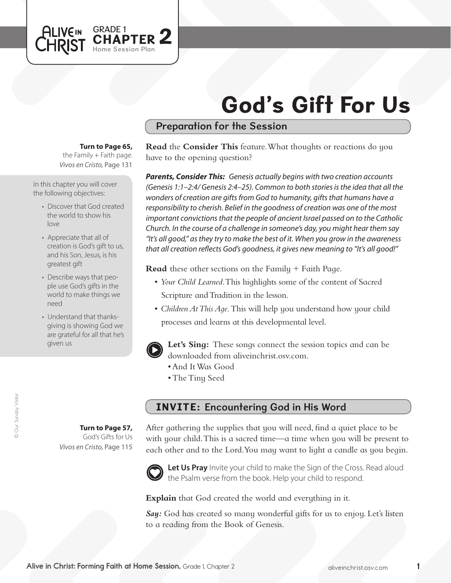# God's Gift For Us

## Preparation for the Session

#### **Turn to Page 65,**

GRADE 1<br>CHAPTER 2

Home Session Plan

the Family  $+$  Faith page. *Vivos en Cristo,* Page 131

In this chapter you will cover the following objectives:

**ALIVEIN LHRIST** 

- Discover that God created the world to show his  $lnn$
- Appreciate that all of creation is God's gift to us, and his Son, Jesus, is his greatest gift
- Describe ways that people use God's gifts in the world to make things we need
- Understand that thanksgiving is showing God we are grateful for all that he's given us

© Our Sunday Visitor © Our Sunday Visitor

**Turn to Page 57,** God's Gifts for Us

*Vivos en Cristo,* Page 115

**Read** the **Consider This** feature. What thoughts or reactions do you have to the opening question?

*Parents, Consider This: Genesis actually begins with two creation accounts (Genesis 1:1–2:4/ Genesis 2:4–25). Common to both stories is the idea that all the wonders of creation are gifts from God to humanity, gifts that humans have a responsibility to cherish. Belief in the goodness of creation was one of the most important convictions that the people of ancient Israel passed on to the Catholic Church. In the course of a challenge in someone's day, you might hear them say "It's all good," as they try to make the best of it. When you grow in the awareness that all creation reflects God's goodness, it gives new meaning to "It's all good!"*

**Read** these other sections on the Family + Faith Page.

- • *Your Child Learned*. This highlights some of the content of Sacred Scripture and Tradition in the lesson.
- *Children At This Age*. This will help you understand how your child processes and learns at this developmental level.



**Let's Sing:** These songs connect the session topics and can be downloaded from aliveinchrist.osv.com.

- • And ItWas Good
- The Tiny Seed

### INVITE: Encountering God in His Word

After gathering the supplies that you will need, find a quiet place to be with your child. This is a sacred time—a time when you will be present to each other and to the Lord. You may want to light a candle as you begin.



Let Us Pray Invite your child to make the Sign of the Cross. Read aloud the Psalm verse from the book. Help your child to respond.

**Explain** that God created the world and everything in it.

*Say:* God has created so many wonderful gifts for us to enjoy. Let's listen to a reading from the Book of Genesis.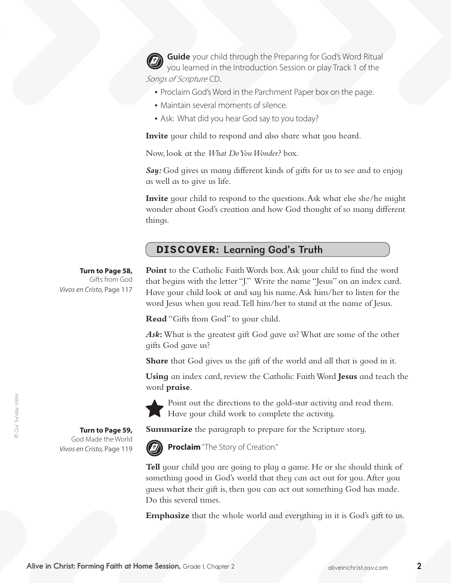**Guide** your child through the Preparing for God's Word Ritual you learned in the Introduction Session or play Track 1 of the Songs of Scripture CD.

- Proclaim God's Word in the Parchment Paper box on the page.
- Maintain several moments of silence.
- Ask: What did you hear God say to you today?

**Invite** your child to respond and also share what you heard.

Now, look at the *What Do You Wonder?* box.

*Say:* God gives us many different kinds of gifts for us to see and to enjoy as well as to give us life.

**Invite** your child to respond to the questions. Ask what else she/he might wonder about God's creation and how God thought of so many different things.

### DISCOVER: Learning God's Truth

**Turn to Page 58,**

Gifts from God *Vivos en Cristo,* Page 117

Point to the Catholic Faith Words box. Ask your child to find the word that begins with the letter "J." Write the name "Jesus" on an index card. Have your child look at and say his name.Ask him/her to listen for the word Jesus when you read.Tell him/her to stand at the name of Jesus.

**Read** "Gifts from God" to your child.

*Ask***:**What is the greatest gift God gave us?What are some of the other gifts God gave us?

**Share** that God gives us the gift of the world and all that is good in it.

**Using** an index card, review the Catholic FaithWord **Jesus** and teach the word **praise**.



Point out the directions to the gold-star activity and read them. Have your child work to complete the activity.

**Summarize** the paragraph to prepare for the Scripture story.



**Proclaim** "The Story of Creation."

**Tell** your child you are going to play a game. He or she should think of something good in God's world that they can act out for you.After you guess what their gift is, then you can act out something God has made. Do this several times.

**Emphasize** that the whole world and everything in it is God's gift to us.

**Turn to Page 59,** God Made the World *Vivos en Cristo,* Page 119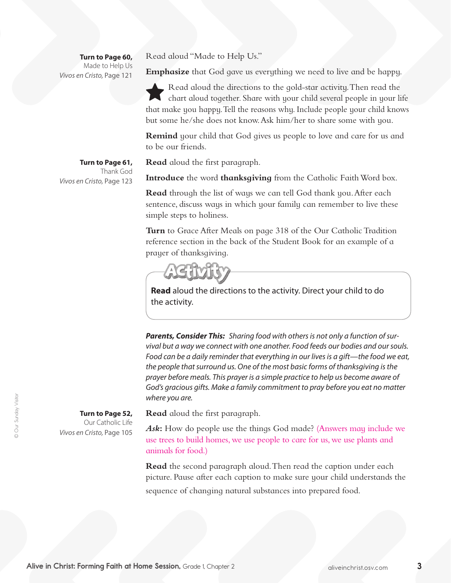**Turn to Page 60,** Made to Help Us *Vivos en Cristo,* Page 121

Read aloud "Made to Help Us."

**Emphasize** that God gave us everything we need to live and be happy.

Read aloud the directions to the gold-star activity. Then read the chart aloud together. Share with your child several people in your life that make you happy.Tell the reasons why. Include people your child knows but some he/she does not know.Ask him/her to share some with you.

**Remind** your child that God gives us people to love and care for us and to be our friends.

**Read** aloud the first paragraph.

**Introduce** the word **thanksgiving** from the Catholic Faith Word box.

**Read** through the list of ways we can tell God thank you.After each sentence, discuss ways in which your family can remember to live these simple steps to holiness.

**Turn** to Grace After Meals on page 318 of the Our Catholic Tradition reference section in the back of the Student Book for an example of a prayer of thanksgiving.



**Read** aloud the directions to the activity. Direct your child to do the activity.

*Parents, Consider This: Sharing food with others is not only a function of survival but a way we connect with one another. Food feeds our bodies and our souls. Food can be a daily reminder that everything in our lives is a gift—the food we eat, the people that surround us. One of the most basic forms of thanksgiving is the prayer before meals. This prayer is a simple practice to help us become aware of God's gracious gifts. Make a family commitment to pray before you eat no matter where you are.*

**Read** aloud the first paragraph.

Ask: How do people use the things God made? (Answers may include we use trees to build homes, we use people to care for us, we use plants and animals for food.)

**Read** the second paragraph aloud. Then read the caption under each picture. Pause after each caption to make sure your child understands the sequence of changing natural substances into prepared food.

**Turn to Page 61,**  Thank God *Vivos en Cristo,* Page 123

© Our Sunday Visitor © Our Sunday Visitor

**Turn to Page 52,**  Our Catholic Life

*Vivos en Cristo,* Page 105